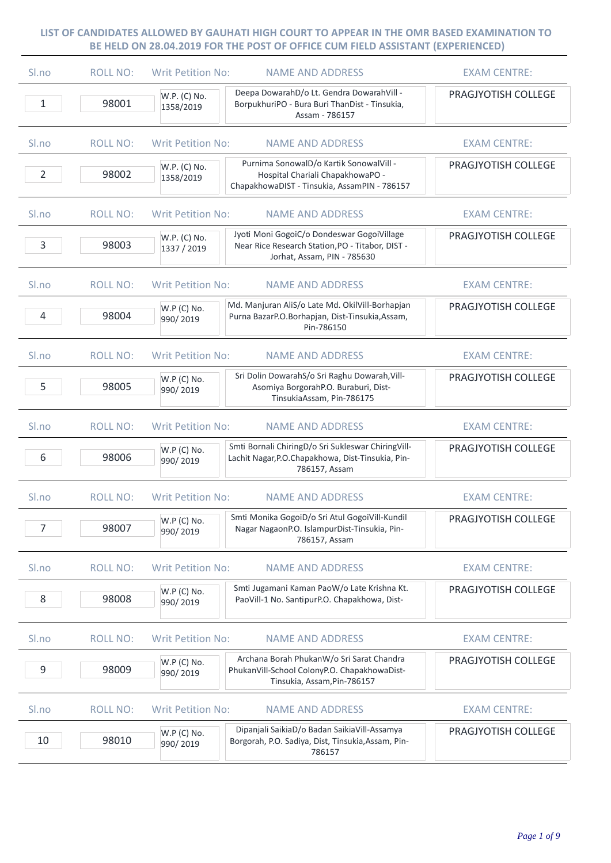| Sl.no          | <b>ROLL NO:</b> | <b>Writ Petition No:</b>    | <b>NAME AND ADDRESS</b>                                                                                                       | <b>EXAM CENTRE:</b> |
|----------------|-----------------|-----------------------------|-------------------------------------------------------------------------------------------------------------------------------|---------------------|
| 1              | 98001           | W.P. (C) No.<br>1358/2019   | Deepa DowarahD/o Lt. Gendra DowarahVill -<br>BorpukhuriPO - Bura Buri ThanDist - Tinsukia,<br>Assam - 786157                  | PRAGJYOTISH COLLEGE |
| Sl.no          | <b>ROLL NO:</b> | <b>Writ Petition No:</b>    | <b>NAME AND ADDRESS</b>                                                                                                       | <b>EXAM CENTRE:</b> |
| $\overline{2}$ | 98002           | W.P. (C) No.<br>1358/2019   | Purnima SonowalD/o Kartik SonowalVill -<br>Hospital Chariali ChapakhowaPO -<br>ChapakhowaDIST - Tinsukia, AssamPIN - 786157   | PRAGJYOTISH COLLEGE |
| Sl.no          | <b>ROLL NO:</b> | <b>Writ Petition No:</b>    | <b>NAME AND ADDRESS</b>                                                                                                       | <b>EXAM CENTRE:</b> |
| 3              | 98003           | W.P. (C) No.<br>1337 / 2019 | Jyoti Moni GogoiC/o Dondeswar GogoiVillage<br>Near Rice Research Station, PO - Titabor, DIST -<br>Jorhat, Assam, PIN - 785630 | PRAGJYOTISH COLLEGE |
| Sl.no          | <b>ROLL NO:</b> | <b>Writ Petition No:</b>    | <b>NAME AND ADDRESS</b>                                                                                                       | <b>EXAM CENTRE:</b> |
| 4              | 98004           | W.P (C) No.<br>990/2019     | Md. Manjuran AliS/o Late Md. OkilVill-Borhapjan<br>Purna BazarP.O.Borhapjan, Dist-Tinsukia,Assam,<br>Pin-786150               | PRAGJYOTISH COLLEGE |
| Sl.no          | <b>ROLL NO:</b> | <b>Writ Petition No:</b>    | <b>NAME AND ADDRESS</b>                                                                                                       | <b>EXAM CENTRE:</b> |
| 5              | 98005           | W.P (C) No.<br>990/2019     | Sri Dolin DowarahS/o Sri Raghu Dowarah, Vill-<br>Asomiya BorgorahP.O. Buraburi, Dist-<br>TinsukiaAssam, Pin-786175            | PRAGJYOTISH COLLEGE |
| Sl.no          | <b>ROLL NO:</b> | <b>Writ Petition No:</b>    | <b>NAME AND ADDRESS</b>                                                                                                       | <b>EXAM CENTRE:</b> |
| 6              | 98006           | W.P (C) No.<br>990/2019     | Smti Bornali ChiringD/o Sri Sukleswar ChiringVill-<br>Lachit Nagar, P.O. Chapakhowa, Dist-Tinsukia, Pin-<br>786157, Assam     | PRAGJYOTISH COLLEGE |
| Sl.no          | <b>ROLL NO:</b> | <b>Writ Petition No:</b>    | <b>NAME AND ADDRESS</b>                                                                                                       | <b>EXAM CENTRE:</b> |
| $\overline{7}$ | 98007           | W.P (C) No.<br>990/2019     | Smti Monika GogoiD/o Sri Atul GogoiVill-Kundil<br>Nagar NagaonP.O. IslampurDist-Tinsukia, Pin-<br>786157, Assam               | PRAGJYOTISH COLLEGE |
| Sl.no          | <b>ROLL NO:</b> | <b>Writ Petition No:</b>    | <b>NAME AND ADDRESS</b>                                                                                                       | <b>EXAM CENTRE:</b> |
| 8              | 98008           | W.P (C) No.<br>990/2019     | Smti Jugamani Kaman PaoW/o Late Krishna Kt.<br>PaoVill-1 No. SantipurP.O. Chapakhowa, Dist-                                   | PRAGJYOTISH COLLEGE |
| Sl.no          | <b>ROLL NO:</b> | <b>Writ Petition No:</b>    | <b>NAME AND ADDRESS</b>                                                                                                       | <b>EXAM CENTRE:</b> |
| 9              | 98009           | W.P (C) No.<br>990/2019     | Archana Borah PhukanW/o Sri Sarat Chandra<br>PhukanVill-School ColonyP.O. ChapakhowaDist-<br>Tinsukia, Assam, Pin-786157      | PRAGJYOTISH COLLEGE |
| Sl.no          | <b>ROLL NO:</b> | <b>Writ Petition No:</b>    | <b>NAME AND ADDRESS</b>                                                                                                       | <b>EXAM CENTRE:</b> |
| 10             | 98010           | W.P (C) No.<br>990/2019     | Dipanjali SaikiaD/o Badan SaikiaVill-Assamya<br>Borgorah, P.O. Sadiya, Dist, Tinsukia, Assam, Pin-<br>786157                  | PRAGJYOTISH COLLEGE |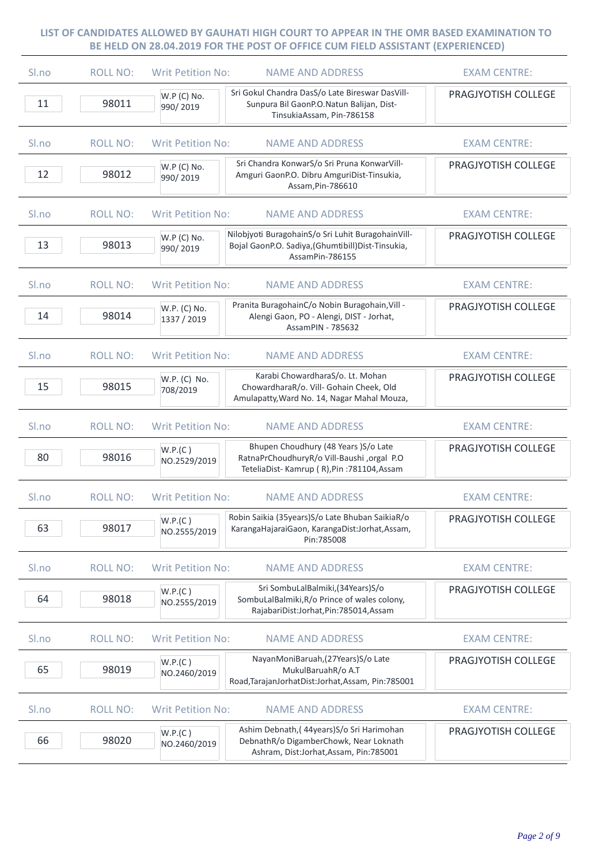| Sl.no            | <b>ROLL NO:</b> | <b>Writ Petition No:</b>    | <b>NAME AND ADDRESS</b>                                                                                                          | <b>EXAM CENTRE:</b> |
|------------------|-----------------|-----------------------------|----------------------------------------------------------------------------------------------------------------------------------|---------------------|
| 11               | 98011           | W.P (C) No.<br>990/2019     | Sri Gokul Chandra DasS/o Late Bireswar DasVill-<br>Sunpura Bil GaonP.O.Natun Balijan, Dist-<br>TinsukiaAssam, Pin-786158         | PRAGJYOTISH COLLEGE |
| S <sub>ln0</sub> | <b>ROLL NO:</b> | <b>Writ Petition No:</b>    | <b>NAME AND ADDRESS</b>                                                                                                          | <b>EXAM CENTRE:</b> |
| 12               | 98012           | W.P (C) No.<br>990/2019     | Sri Chandra KonwarS/o Sri Pruna KonwarVill-<br>Amguri GaonP.O. Dibru AmguriDist-Tinsukia,<br>Assam, Pin-786610                   | PRAGJYOTISH COLLEGE |
| S <sub>ln0</sub> | <b>ROLL NO:</b> | <b>Writ Petition No:</b>    | <b>NAME AND ADDRESS</b>                                                                                                          | <b>EXAM CENTRE:</b> |
| 13               | 98013           | W.P (C) No.<br>990/2019     | Nilobjyoti BuragohainS/o Sri Luhit BuragohainVill-<br>Bojal GaonP.O. Sadiya, (Ghumtibill) Dist-Tinsukia,<br>AssamPin-786155      | PRAGJYOTISH COLLEGE |
| S <sub>ln0</sub> | <b>ROLL NO:</b> | <b>Writ Petition No:</b>    | <b>NAME AND ADDRESS</b>                                                                                                          | <b>EXAM CENTRE:</b> |
| 14               | 98014           | W.P. (C) No.<br>1337 / 2019 | Pranita BuragohainC/o Nobin Buragohain, Vill -<br>Alengi Gaon, PO - Alengi, DIST - Jorhat,<br>AssamPIN - 785632                  | PRAGJYOTISH COLLEGE |
| S <sub>lno</sub> | <b>ROLL NO:</b> | <b>Writ Petition No:</b>    | <b>NAME AND ADDRESS</b>                                                                                                          | <b>EXAM CENTRE:</b> |
| 15               | 98015           | W.P. (C) No.<br>708/2019    | Karabi ChowardharaS/o. Lt. Mohan<br>ChowardharaR/o. Vill- Gohain Cheek, Old<br>Amulapatty, Ward No. 14, Nagar Mahal Mouza,       | PRAGJYOTISH COLLEGE |
| S <sub>ln0</sub> | <b>ROLL NO:</b> | <b>Writ Petition No:</b>    | <b>NAME AND ADDRESS</b>                                                                                                          | <b>EXAM CENTRE:</b> |
| 80               | 98016           | W.P.(C)<br>NO.2529/2019     | Bhupen Choudhury (48 Years )S/o Late<br>RatnaPrChoudhuryR/o Vill-Baushi, orgal P.O<br>TeteliaDist-Kamrup (R), Pin: 781104, Assam | PRAGJYOTISH COLLEGE |
| Sl.no            | <b>ROLL NO:</b> | <b>Writ Petition No:</b>    | <b>NAME AND ADDRESS</b>                                                                                                          | <b>EXAM CENTRE:</b> |
| 63               | 98017           | W.P.(C)<br>NO.2555/2019     | Robin Saikia (35years) S/o Late Bhuban SaikiaR/o<br>KarangaHajaraiGaon, KarangaDist:Jorhat,Assam,<br>Pin:785008                  | PRAGJYOTISH COLLEGE |
| Sl.no            | <b>ROLL NO:</b> | <b>Writ Petition No:</b>    | <b>NAME AND ADDRESS</b>                                                                                                          | <b>EXAM CENTRE:</b> |
| 64               | 98018           | W.P.(C)<br>NO.2555/2019     | Sri SombuLalBalmiki, (34Years) S/o<br>SombuLalBalmiki, R/o Prince of wales colony,<br>RajabariDist:Jorhat,Pin:785014,Assam       | PRAGJYOTISH COLLEGE |
| Sl.no            | <b>ROLL NO:</b> | <b>Writ Petition No:</b>    | <b>NAME AND ADDRESS</b>                                                                                                          | <b>EXAM CENTRE:</b> |
| 65               | 98019           | W.P.(C)<br>NO.2460/2019     | NayanMoniBaruah, (27Years) S/o Late<br>MukulBaruahR/o A.T<br>Road, TarajanJorhatDist: Jorhat, Assam, Pin: 785001                 | PRAGJYOTISH COLLEGE |
| Sl.no            | <b>ROLL NO:</b> | <b>Writ Petition No:</b>    | <b>NAME AND ADDRESS</b>                                                                                                          | <b>EXAM CENTRE:</b> |
| 66               | 98020           | W.P.(C)<br>NO.2460/2019     | Ashim Debnath, (44years) S/o Sri Harimohan<br>DebnathR/o DigamberChowk, Near Loknath<br>Ashram, Dist:Jorhat, Assam, Pin: 785001  | PRAGJYOTISH COLLEGE |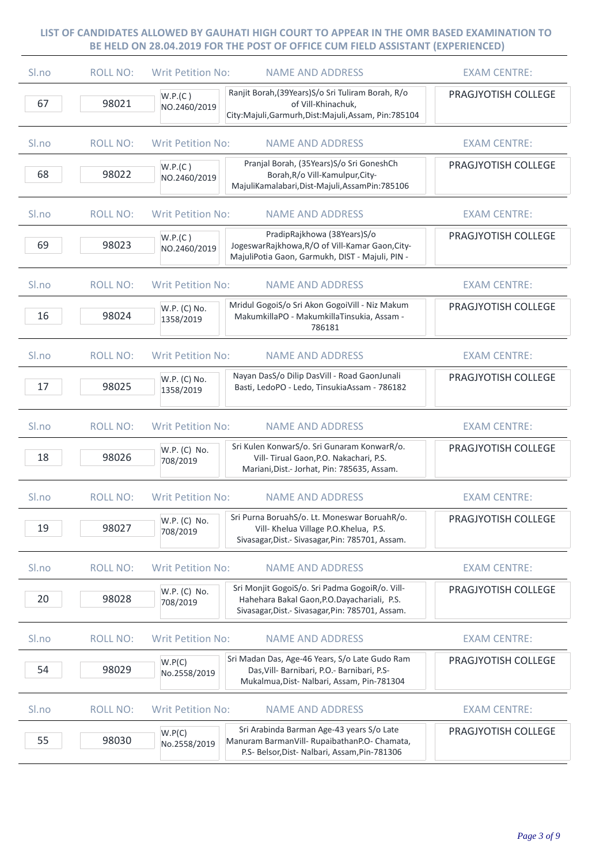| Sl.no | <b>ROLL NO:</b> | <b>Writ Petition No:</b>  | <b>NAME AND ADDRESS</b>                                                                                                                            | <b>EXAM CENTRE:</b> |
|-------|-----------------|---------------------------|----------------------------------------------------------------------------------------------------------------------------------------------------|---------------------|
| 67    | 98021           | W.P.(C)<br>NO.2460/2019   | Ranjit Borah, (39Years) S/o Sri Tuliram Borah, R/o<br>of Vill-Khinachuk,<br>City:Majuli,Garmurh,Dist:Majuli,Assam, Pin:785104                      | PRAGJYOTISH COLLEGE |
| Sl.no | <b>ROLL NO:</b> | <b>Writ Petition No:</b>  | <b>NAME AND ADDRESS</b>                                                                                                                            | <b>EXAM CENTRE:</b> |
| 68    | 98022           | W.P.(C)<br>NO.2460/2019   | Pranjal Borah, (35Years)S/o Sri GoneshCh<br>Borah, R/o Vill-Kamulpur, City-<br>MajuliKamalabari, Dist-Majuli, AssamPin: 785106                     | PRAGJYOTISH COLLEGE |
| Sl.no | <b>ROLL NO:</b> | <b>Writ Petition No:</b>  | <b>NAME AND ADDRESS</b>                                                                                                                            | <b>EXAM CENTRE:</b> |
| 69    | 98023           | W.P.(C)<br>NO.2460/2019   | PradipRajkhowa (38Years)S/o<br>JogeswarRajkhowa, R/O of Vill-Kamar Gaon, City-<br>MajuliPotia Gaon, Garmukh, DIST - Majuli, PIN -                  | PRAGJYOTISH COLLEGE |
| Sl.no | <b>ROLL NO:</b> | <b>Writ Petition No:</b>  | <b>NAME AND ADDRESS</b>                                                                                                                            | <b>EXAM CENTRE:</b> |
| 16    | 98024           | W.P. (C) No.<br>1358/2019 | Mridul GogoiS/o Sri Akon GogoiVill - Niz Makum<br>MakumkillaPO - MakumkillaTinsukia, Assam -<br>786181                                             | PRAGJYOTISH COLLEGE |
| Sl.no | <b>ROLL NO:</b> | <b>Writ Petition No:</b>  | <b>NAME AND ADDRESS</b>                                                                                                                            | <b>EXAM CENTRE:</b> |
| 17    | 98025           | W.P. (C) No.<br>1358/2019 | Nayan DasS/o Dilip DasVill - Road GaonJunali<br>Basti, LedoPO - Ledo, TinsukiaAssam - 786182                                                       | PRAGJYOTISH COLLEGE |
| Sl.no | <b>ROLL NO:</b> | <b>Writ Petition No:</b>  | <b>NAME AND ADDRESS</b>                                                                                                                            | <b>EXAM CENTRE:</b> |
| 18    | 98026           | W.P. (C) No.<br>708/2019  | Sri Kulen KonwarS/o. Sri Gunaram KonwarR/o.<br>Vill- Tirual Gaon, P.O. Nakachari, P.S.<br>Mariani, Dist.- Jorhat, Pin: 785635, Assam.              | PRAGJYOTISH COLLEGE |
| Sl.no | <b>ROLL NO:</b> | <b>Writ Petition No:</b>  | <b>NAME AND ADDRESS</b>                                                                                                                            | <b>EXAM CENTRE:</b> |
| 19    | 98027           | W.P. (C) No.<br>708/2019  | Sri Purna BoruahS/o. Lt. Moneswar BoruahR/o.<br>Vill- Khelua Village P.O.Khelua, P.S.<br>Sivasagar, Dist.- Sivasagar, Pin: 785701, Assam.          | PRAGJYOTISH COLLEGE |
| Sl.no | <b>ROLL NO:</b> | <b>Writ Petition No:</b>  | <b>NAME AND ADDRESS</b>                                                                                                                            | <b>EXAM CENTRE:</b> |
| 20    | 98028           | W.P. (C) No.<br>708/2019  | Sri Monjit GogoiS/o. Sri Padma GogoiR/o. Vill-<br>Hahehara Bakal Gaon, P.O. Dayachariali, P.S.<br>Sivasagar, Dist.- Sivasagar, Pin: 785701, Assam. | PRAGJYOTISH COLLEGE |
| Sl.no | <b>ROLL NO:</b> | <b>Writ Petition No:</b>  | <b>NAME AND ADDRESS</b>                                                                                                                            | <b>EXAM CENTRE:</b> |
| 54    | 98029           | W.P(C)<br>No.2558/2019    | Sri Madan Das, Age-46 Years, S/o Late Gudo Ram<br>Das, Vill- Barnibari, P.O.- Barnibari, P.S-<br>Mukalmua, Dist- Nalbari, Assam, Pin-781304        | PRAGJYOTISH COLLEGE |
| Sl.no | <b>ROLL NO:</b> | <b>Writ Petition No:</b>  | <b>NAME AND ADDRESS</b>                                                                                                                            | <b>EXAM CENTRE:</b> |
| 55    | 98030           | W.P(C)<br>No.2558/2019    | Sri Arabinda Barman Age-43 years S/o Late<br>Manuram BarmanVill- RupaibathanP.O- Chamata,<br>P.S- Belsor, Dist- Nalbari, Assam, Pin-781306         | PRAGJYOTISH COLLEGE |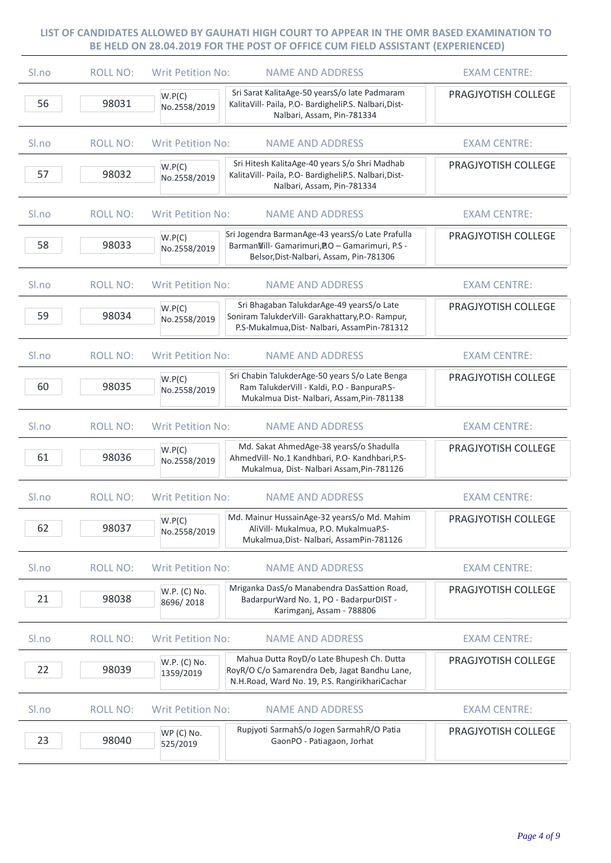| Sl.no            | <b>ROLL NO:</b> | <b>Writ Petition No:</b>  | <b>NAME AND ADDRESS</b>                                                                                                                       | <b>EXAM CENTRE:</b> |
|------------------|-----------------|---------------------------|-----------------------------------------------------------------------------------------------------------------------------------------------|---------------------|
| 56               | 98031           | W.P(C)<br>No.2558/2019    | Sri Sarat KalitaAge-50 yearsS/o late Padmaram<br>KalitaVill- Paila, P.O- BardigheliP.S. Nalbari, Dist-<br>Nalbari, Assam, Pin-781334          | PRAGJYOTISH COLLEGE |
| Sl.no            | <b>ROLL NO:</b> | <b>Writ Petition No:</b>  | <b>NAME AND ADDRESS</b>                                                                                                                       | <b>EXAM CENTRE:</b> |
| 57               | 98032           | W.P(C)<br>No.2558/2019    | Sri Hitesh KalitaAge-40 years S/o Shri Madhab<br>KalitaVill- Paila, P.O- BardigheliP.S. Nalbari, Dist-<br>Nalbari, Assam, Pin-781334          | PRAGJYOTISH COLLEGE |
| Sl.no            | <b>ROLL NO:</b> | <b>Writ Petition No:</b>  | <b>NAME AND ADDRESS</b>                                                                                                                       | <b>EXAM CENTRE:</b> |
| 58               | 98033           | W.P(C)<br>No.2558/2019    | Sri Jogendra BarmanAge-43 yearsS/o Late Prafulla<br>BarmanWill-Gamarimuri, AO - Gamarimuri, P.S -<br>Belsor, Dist-Nalbari, Assam, Pin-781306  | PRAGJYOTISH COLLEGE |
| S <sub>ln0</sub> | <b>ROLL NO:</b> | <b>Writ Petition No:</b>  | <b>NAME AND ADDRESS</b>                                                                                                                       | <b>EXAM CENTRE:</b> |
| 59               | 98034           | W.P(C)<br>No.2558/2019    | Sri Bhagaban TalukdarAge-49 yearsS/o Late<br>Soniram TalukderVill- Garakhattary, P.O- Rampur,<br>P.S-Mukalmua, Dist- Nalbari, AssamPin-781312 | PRAGJYOTISH COLLEGE |
| S <sub>lno</sub> | <b>ROLL NO:</b> | <b>Writ Petition No:</b>  | <b>NAME AND ADDRESS</b>                                                                                                                       | <b>EXAM CENTRE:</b> |
| 60               | 98035           | W.P(C)<br>No.2558/2019    | Sri Chabin TalukderAge-50 years S/o Late Benga<br>Ram TalukderVill - Kaldi, P.O - BanpuraP.S-<br>Mukalmua Dist- Nalbari, Assam, Pin-781138    | PRAGJYOTISH COLLEGE |
| Sl.no            | <b>ROLL NO:</b> | <b>Writ Petition No:</b>  | <b>NAME AND ADDRESS</b>                                                                                                                       | <b>EXAM CENTRE:</b> |
| 61               | 98036           | W.P(C)<br>No.2558/2019    | Md. Sakat AhmedAge-38 yearsS/o Shadulla<br>AhmedVill- No.1 Kandhbari, P.O- Kandhbari, P.S-<br>Mukalmua, Dist- Nalbari Assam, Pin-781126       | PRAGJYOTISH COLLEGE |
| Sl.no            | <b>ROLL NO:</b> | <b>Writ Petition No:</b>  | <b>NAME AND ADDRESS</b>                                                                                                                       | <b>EXAM CENTRE:</b> |
| 62               | 98037           | W.P(C)<br>No.2558/2019    | Md. Mainur HussainAge-32 yearsS/o Md. Mahim<br>AliVill- Mukalmua, P.O. MukalmuaP.S-<br>Mukalmua, Dist- Nalbari, AssamPin-781126               | PRAGJYOTISH COLLEGE |
| Sl.no            | <b>ROLL NO:</b> | <b>Writ Petition No:</b>  | <b>NAME AND ADDRESS</b>                                                                                                                       | <b>EXAM CENTRE:</b> |
| 21               | 98038           | W.P. (C) No.<br>8696/2018 | Mriganka DasS/o Manabendra DasSattion Road,<br>BadarpurWard No. 1, PO - BadarpurDIST -<br>Karimganj, Assam - 788806                           | PRAGJYOTISH COLLEGE |
| Sl.no            | <b>ROLL NO:</b> | <b>Writ Petition No:</b>  | <b>NAME AND ADDRESS</b>                                                                                                                       | <b>EXAM CENTRE:</b> |
| 22               | 98039           | W.P. (C) No.<br>1359/2019 | Mahua Dutta RoyD/o Late Bhupesh Ch. Dutta<br>RoyR/O C/o Samarendra Deb, Jagat Bandhu Lane,<br>N.H.Road, Ward No. 19, P.S. RangirikhariCachar  | PRAGJYOTISH COLLEGE |
| Sl.no            | <b>ROLL NO:</b> | <b>Writ Petition No:</b>  | <b>NAME AND ADDRESS</b>                                                                                                                       | <b>EXAM CENTRE:</b> |
| 23               | 98040           | WP (C) No.<br>525/2019    | Rupjyoti SarmahS/o Jogen SarmahR/O Patia<br>GaonPO - Patiagaon, Jorhat                                                                        | PRAGJYOTISH COLLEGE |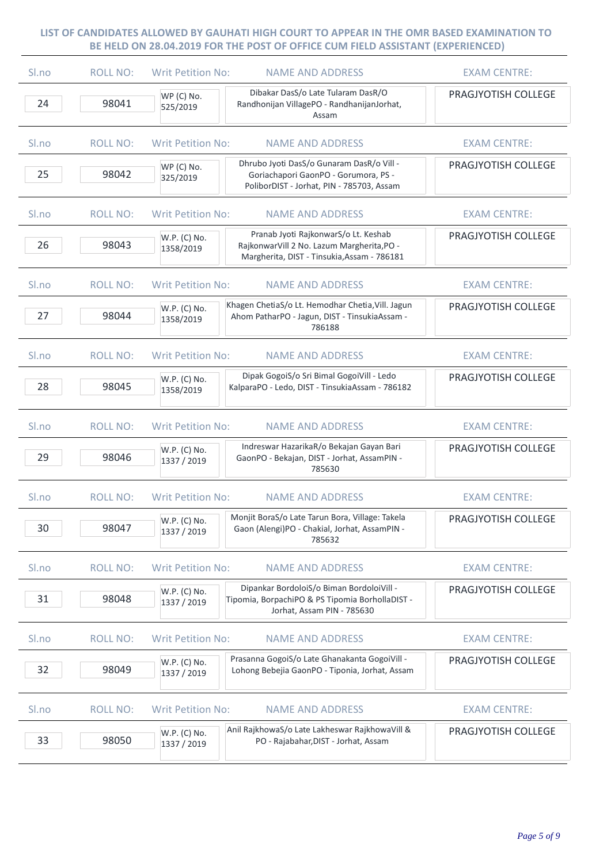| Sl.no            | <b>ROLL NO:</b> | <b>Writ Petition No:</b><br><b>NAME AND ADDRESS</b>                                                                                                            | <b>EXAM CENTRE:</b>        |
|------------------|-----------------|----------------------------------------------------------------------------------------------------------------------------------------------------------------|----------------------------|
| 24               | 98041           | Dibakar DasS/o Late Tularam DasR/O<br>WP (C) No.<br>Randhonijan VillagePO - RandhanijanJorhat,<br>525/2019<br>Assam                                            | PRAGJYOTISH COLLEGE        |
| S <sub>ln0</sub> | <b>ROLL NO:</b> | <b>Writ Petition No:</b><br><b>NAME AND ADDRESS</b>                                                                                                            | <b>EXAM CENTRE:</b>        |
| 25               | 98042           | Dhrubo Jyoti DasS/o Gunaram DasR/o Vill -<br>WP (C) No.<br>Goriachapori GaonPO - Gorumora, PS -<br>325/2019<br>PoliborDIST - Jorhat, PIN - 785703, Assam       | PRAGJYOTISH COLLEGE        |
| Sl.no            | <b>ROLL NO:</b> | Writ Petition No:<br><b>NAME AND ADDRESS</b>                                                                                                                   | <b>EXAM CENTRE:</b>        |
| 26               | 98043           | Pranab Jyoti RajkonwarS/o Lt. Keshab<br>W.P. (C) No.<br>RajkonwarVill 2 No. Lazum Margherita, PO -<br>1358/2019<br>Margherita, DIST - Tinsukia, Assam - 786181 | PRAGJYOTISH COLLEGE        |
| Sl.no            | <b>ROLL NO:</b> | <b>Writ Petition No:</b><br><b>NAME AND ADDRESS</b>                                                                                                            | <b>EXAM CENTRE:</b>        |
| 27               | 98044           | Khagen ChetiaS/o Lt. Hemodhar Chetia, Vill. Jagun<br>W.P. (C) No.<br>Ahom PatharPO - Jagun, DIST - TinsukiaAssam -<br>1358/2019<br>786188                      | PRAGJYOTISH COLLEGE        |
| Sl.no            | <b>ROLL NO:</b> | <b>Writ Petition No:</b><br><b>NAME AND ADDRESS</b>                                                                                                            | <b>EXAM CENTRE:</b>        |
| 28               | 98045           | Dipak GogoiS/o Sri Bimal GogoiVill - Ledo<br>W.P. (C) No.<br>KalparaPO - Ledo, DIST - TinsukiaAssam - 786182<br>1358/2019                                      | PRAGJYOTISH COLLEGE        |
| S <sub>ln0</sub> | <b>ROLL NO:</b> | <b>Writ Petition No:</b><br><b>NAME AND ADDRESS</b>                                                                                                            | <b>EXAM CENTRE:</b>        |
| 29               | 98046           | Indreswar HazarikaR/o Bekajan Gayan Bari<br>W.P. (C) No.<br>GaonPO - Bekajan, DIST - Jorhat, AssamPIN -<br>1337 / 2019<br>785630                               | PRAGJYOTISH COLLEGE        |
| Sl.no            | <b>ROLL NO:</b> | <b>Writ Petition No:</b><br><b>NAME AND ADDRESS</b>                                                                                                            | <b>EXAM CENTRE:</b>        |
| 30               | 98047           | Monjit BoraS/o Late Tarun Bora, Village: Takela<br>W.P. (C) No.<br>Gaon (Alengi)PO - Chakial, Jorhat, AssamPIN -<br>1337 / 2019<br>785632                      | <b>PRAGJYOTISH COLLEGE</b> |
| Sl.no            | <b>ROLL NO:</b> | <b>Writ Petition No:</b><br><b>NAME AND ADDRESS</b>                                                                                                            | <b>EXAM CENTRE:</b>        |
| 31               | 98048           | Dipankar BordoloiS/o Biman BordoloiVill -<br>W.P. (C) No.<br>Tipomia, BorpachiPO & PS Tipomia BorhollaDIST -<br>1337 / 2019<br>Jorhat, Assam PIN - 785630      | PRAGJYOTISH COLLEGE        |
| Sl.no            | <b>ROLL NO:</b> | <b>Writ Petition No:</b><br><b>NAME AND ADDRESS</b>                                                                                                            | <b>EXAM CENTRE:</b>        |
| 32               | 98049           | Prasanna GogoiS/o Late Ghanakanta GogoiVill -<br>W.P. (C) No.<br>Lohong Bebejia GaonPO - Tiponia, Jorhat, Assam<br>1337 / 2019                                 | PRAGJYOTISH COLLEGE        |
| Sl.no            | <b>ROLL NO:</b> | <b>Writ Petition No:</b><br><b>NAME AND ADDRESS</b>                                                                                                            | <b>EXAM CENTRE:</b>        |
| 33               | 98050           | Anil RajkhowaS/o Late Lakheswar RajkhowaVill &<br>W.P. (C) No.<br>PO - Rajabahar, DIST - Jorhat, Assam<br>1337 / 2019                                          | PRAGJYOTISH COLLEGE        |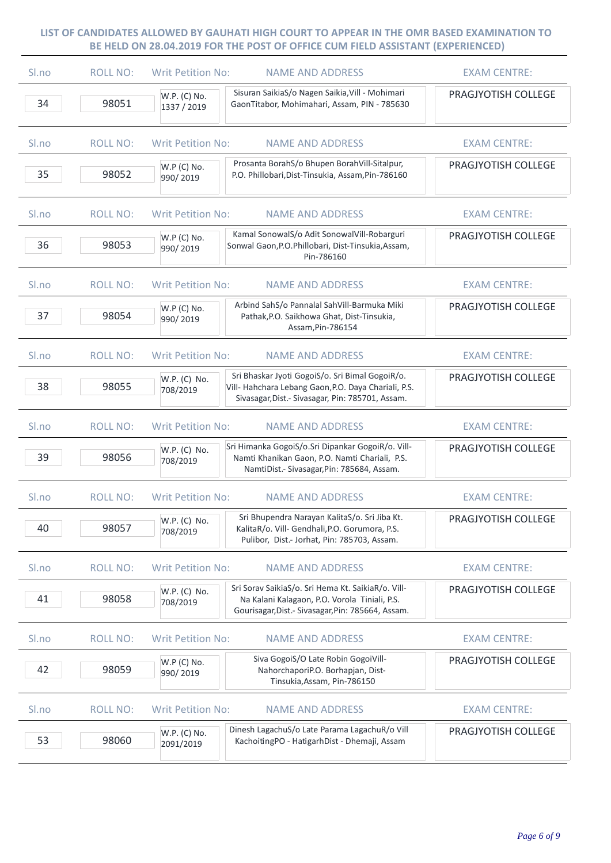| Sl.no            | <b>ROLL NO:</b> | <b>Writ Petition No:</b>    | <b>NAME AND ADDRESS</b>                                                                                                                                     | <b>EXAM CENTRE:</b> |
|------------------|-----------------|-----------------------------|-------------------------------------------------------------------------------------------------------------------------------------------------------------|---------------------|
| 34               | 98051           | W.P. (C) No.<br>1337 / 2019 | Sisuran SaikiaS/o Nagen Saikia, Vill - Mohimari<br>GaonTitabor, Mohimahari, Assam, PIN - 785630                                                             | PRAGJYOTISH COLLEGE |
| Sl.no            | <b>ROLL NO:</b> | <b>Writ Petition No:</b>    | <b>NAME AND ADDRESS</b>                                                                                                                                     | <b>EXAM CENTRE:</b> |
| 35               | 98052           | W.P (C) No.<br>990/2019     | Prosanta BorahS/o Bhupen BorahVill-Sitalpur,<br>P.O. Phillobari, Dist-Tinsukia, Assam, Pin-786160                                                           | PRAGJYOTISH COLLEGE |
| S <sub>ln0</sub> | <b>ROLL NO:</b> | <b>Writ Petition No:</b>    | <b>NAME AND ADDRESS</b>                                                                                                                                     | <b>EXAM CENTRE:</b> |
| 36               | 98053           | W.P (C) No.<br>990/2019     | Kamal SonowalS/o Adit SonowalVill-Robarguri<br>Sonwal Gaon, P.O. Phillobari, Dist-Tinsukia, Assam,<br>Pin-786160                                            | PRAGJYOTISH COLLEGE |
| Sl.no            | <b>ROLL NO:</b> | <b>Writ Petition No:</b>    | <b>NAME AND ADDRESS</b>                                                                                                                                     | <b>EXAM CENTRE:</b> |
| 37               | 98054           | W.P (C) No.<br>990/2019     | Arbind SahS/o Pannalal SahVill-Barmuka Miki<br>Pathak, P.O. Saikhowa Ghat, Dist-Tinsukia,<br>Assam, Pin-786154                                              | PRAGJYOTISH COLLEGE |
| S <sub>ln0</sub> | <b>ROLL NO:</b> | <b>Writ Petition No:</b>    | <b>NAME AND ADDRESS</b>                                                                                                                                     | <b>EXAM CENTRE:</b> |
| 38               | 98055           | W.P. (C) No.<br>708/2019    | Sri Bhaskar Jyoti GogoiS/o. Sri Bimal GogoiR/o.<br>Vill- Hahchara Lebang Gaon, P.O. Daya Chariali, P.S.<br>Sivasagar, Dist.- Sivasagar, Pin: 785701, Assam. | PRAGJYOTISH COLLEGE |
| Sl.no            | <b>ROLL NO:</b> | <b>Writ Petition No:</b>    | <b>NAME AND ADDRESS</b>                                                                                                                                     | <b>EXAM CENTRE:</b> |
| 39               | 98056           | W.P. (C) No.<br>708/2019    | Sri Himanka GogoiS/o.Sri Dipankar GogoiR/o. Vill-<br>Namti Khanikan Gaon, P.O. Namti Chariali, P.S.<br>NamtiDist.- Sivasagar, Pin: 785684, Assam.           | PRAGJYOTISH COLLEGE |
| Sl.no            | <b>ROLL NO:</b> | <b>Writ Petition No:</b>    | <b>NAME AND ADDRESS</b>                                                                                                                                     | <b>EXAM CENTRE:</b> |
| 40               | 98057           | W.P. (C) No.<br>708/2019    | Sri Bhupendra Narayan KalitaS/o. Sri Jiba Kt.<br>KalitaR/o. Vill- Gendhali, P.O. Gorumora, P.S.<br>Pulibor, Dist.- Jorhat, Pin: 785703, Assam.              | PRAGJYOTISH COLLEGE |
| Sl.no            | <b>ROLL NO:</b> | <b>Writ Petition No:</b>    | <b>NAME AND ADDRESS</b>                                                                                                                                     | <b>EXAM CENTRE:</b> |
| 41               | 98058           | W.P. (C) No.<br>708/2019    | Sri Sorav SaikiaS/o. Sri Hema Kt. SaikiaR/o. Vill-<br>Na Kalani Kalagaon, P.O. Vorola Tiniali, P.S.<br>Gourisagar, Dist. - Sivasagar, Pin: 785664, Assam.   | PRAGJYOTISH COLLEGE |
| Sl.no            | <b>ROLL NO:</b> | <b>Writ Petition No:</b>    | <b>NAME AND ADDRESS</b>                                                                                                                                     | <b>EXAM CENTRE:</b> |
| 42               | 98059           | W.P (C) No.<br>990/2019     | Siva GogoiS/O Late Robin GogoiVill-<br>NahorchaporiP.O. Borhapjan, Dist-<br>Tinsukia, Assam, Pin-786150                                                     | PRAGJYOTISH COLLEGE |
| Sl.no            | <b>ROLL NO:</b> | <b>Writ Petition No:</b>    | <b>NAME AND ADDRESS</b>                                                                                                                                     | <b>EXAM CENTRE:</b> |
| 53               | 98060           | W.P. (C) No.<br>2091/2019   | Dinesh LagachuS/o Late Parama LagachuR/o Vill<br>KachoitingPO - HatigarhDist - Dhemaji, Assam                                                               | PRAGJYOTISH COLLEGE |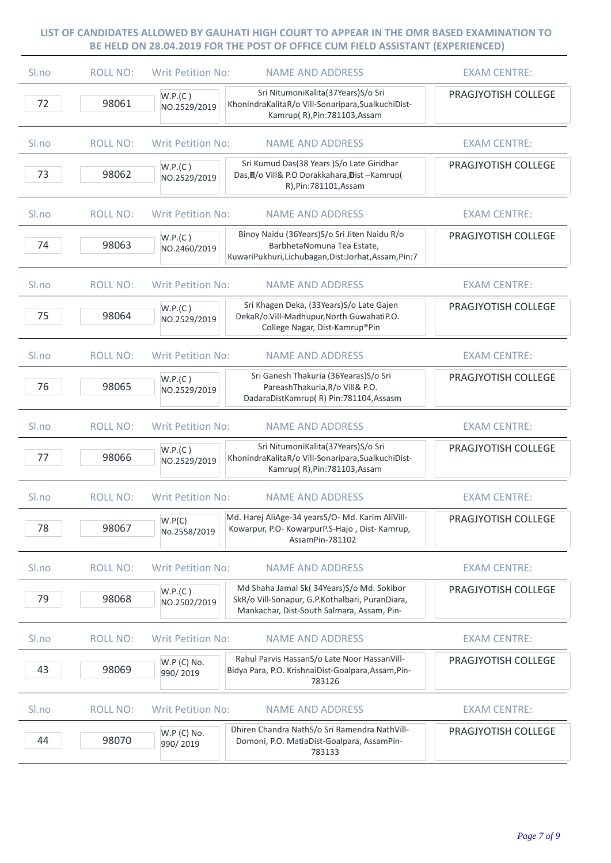| Sl.no | <b>ROLL NO:</b> | <b>Writ Petition No:</b> | <b>NAME AND ADDRESS</b>                                                                                                                    | <b>EXAM CENTRE:</b> |
|-------|-----------------|--------------------------|--------------------------------------------------------------------------------------------------------------------------------------------|---------------------|
| 72    | 98061           | W.P.(C)<br>NO.2529/2019  | Sri NitumoniKalita(37Years)S/o Sri<br>KhonindraKalitaR/o Vill-Sonaripara, SualkuchiDist-<br>Kamrup(R), Pin: 781103, Assam                  | PRAGJYOTISH COLLEGE |
| Sl.no | <b>ROLL NO:</b> | <b>Writ Petition No:</b> | <b>NAME AND ADDRESS</b>                                                                                                                    | <b>EXAM CENTRE:</b> |
| 73    | 98062           | W.P.(C)<br>NO.2529/2019  | Sri Kumud Das(38 Years )S/o Late Giridhar<br>Das, N/o Vill& P.O Dorakkahara, Dist-Kamrup(<br>R), Pin: 781101, Assam                        | PRAGJYOTISH COLLEGE |
| Sl.no | <b>ROLL NO:</b> | <b>Writ Petition No:</b> | <b>NAME AND ADDRESS</b>                                                                                                                    | <b>EXAM CENTRE:</b> |
| 74    | 98063           | W.P.(C)<br>NO.2460/2019  | Binoy Naidu (36Years) S/o Sri Jiten Naidu R/o<br>BarbhetaNomuna Tea Estate,<br>KuwariPukhuri, Lichubagan, Dist: Jorhat, Assam, Pin: 7      | PRAGJYOTISH COLLEGE |
| Sl.no | <b>ROLL NO:</b> | <b>Writ Petition No:</b> | <b>NAME AND ADDRESS</b>                                                                                                                    | <b>EXAM CENTRE:</b> |
| 75    | 98064           | W.P.(C)<br>NO.2529/2019  | Sri Khagen Deka, (33Years) S/o Late Gajen<br>DekaR/o.Vill-Madhupur, North GuwahatiP.O.<br>College Nagar, Dist-Kamrup®Pin                   | PRAGJYOTISH COLLEGE |
| Sl.no | <b>ROLL NO:</b> | <b>Writ Petition No:</b> | <b>NAME AND ADDRESS</b>                                                                                                                    | <b>EXAM CENTRE:</b> |
| 76    | 98065           | W.P.(C)<br>NO.2529/2019  | Sri Ganesh Thakuria (36Yearas)S/o Sri<br>PareashThakuria, R/o Vill& P.O.<br>DadaraDistKamrup(R) Pin:781104,Assasm                          | PRAGJYOTISH COLLEGE |
| Sl.no | <b>ROLL NO:</b> | <b>Writ Petition No:</b> | <b>NAME AND ADDRESS</b>                                                                                                                    | <b>EXAM CENTRE:</b> |
| 77    | 98066           | W.P.(C)<br>NO.2529/2019  | Sri NitumoniKalita(37Years)S/o Sri<br>KhonindraKalitaR/o Vill-Sonaripara, SualkuchiDist-<br>Kamrup(R), Pin: 781103, Assam                  | PRAGJYOTISH COLLEGE |
| Sl.no | <b>ROLL NO:</b> | <b>Writ Petition No:</b> | <b>NAME AND ADDRESS</b>                                                                                                                    | <b>EXAM CENTRE:</b> |
| 78    | 98067           | W.P(C)<br>No.2558/2019   | Md. Harej AliAge-34 yearsS/O- Md. Karim AliVill-<br>Kowarpur, P.O- KowarpurP.S-Hajo, Dist- Kamrup,<br>AssamPin-781102                      | PRAGJYOTISH COLLEGE |
| Sl.no | <b>ROLL NO:</b> | <b>Writ Petition No:</b> | <b>NAME AND ADDRESS</b>                                                                                                                    | <b>EXAM CENTRE:</b> |
| 79    | 98068           | W.P.(C)<br>NO.2502/2019  | Md Shaha Jamal Sk(34Years)S/o Md. Sokibor<br>SkR/o Vill-Sonapur, G.P.Kothalbari, PuranDiara,<br>Mankachar, Dist-South Salmara, Assam, Pin- | PRAGJYOTISH COLLEGE |
| Sl.no | <b>ROLL NO:</b> | <b>Writ Petition No:</b> | <b>NAME AND ADDRESS</b>                                                                                                                    | <b>EXAM CENTRE:</b> |
| 43    | 98069           | W.P (C) No.<br>990/2019  | Rahul Parvis HassanS/o Late Noor HassanVill-<br>Bidya Para, P.O. KrishnaiDist-Goalpara, Assam, Pin-<br>783126                              | PRAGJYOTISH COLLEGE |
| Sl.no | <b>ROLL NO:</b> | <b>Writ Petition No:</b> | <b>NAME AND ADDRESS</b>                                                                                                                    | <b>EXAM CENTRE:</b> |
| 44    | 98070           | W.P (C) No.<br>990/2019  | Dhiren Chandra NathS/o Sri Ramendra NathVill-<br>Domoni, P.O. MatiaDist-Goalpara, AssamPin-<br>783133                                      | PRAGJYOTISH COLLEGE |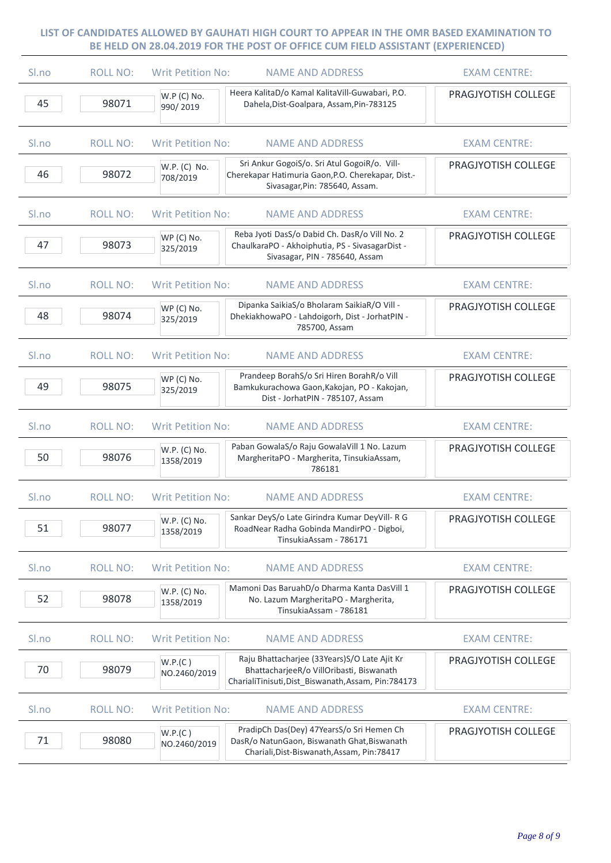| Sl.no | <b>ROLL NO:</b> | <b>Writ Petition No:</b>  | <b>NAME AND ADDRESS</b>                                                                                                                           | <b>EXAM CENTRE:</b> |
|-------|-----------------|---------------------------|---------------------------------------------------------------------------------------------------------------------------------------------------|---------------------|
| 45    | 98071           | W.P (C) No.<br>990/2019   | Heera KalitaD/o Kamal KalitaVill-Guwabari, P.O.<br>Dahela, Dist-Goalpara, Assam, Pin-783125                                                       | PRAGJYOTISH COLLEGE |
| Sl.no | <b>ROLL NO:</b> | <b>Writ Petition No:</b>  | <b>NAME AND ADDRESS</b>                                                                                                                           | <b>EXAM CENTRE:</b> |
| 46    | 98072           | W.P. (C) No.<br>708/2019  | Sri Ankur GogoiS/o. Sri Atul GogoiR/o. Vill-<br>Cherekapar Hatimuria Gaon, P.O. Cherekapar, Dist.-<br>Sivasagar, Pin: 785640, Assam.              | PRAGJYOTISH COLLEGE |
| Sl.no | <b>ROLL NO:</b> | <b>Writ Petition No:</b>  | <b>NAME AND ADDRESS</b>                                                                                                                           | <b>EXAM CENTRE:</b> |
| 47    | 98073           | WP (C) No.<br>325/2019    | Reba Jyoti DasS/o Dabid Ch. DasR/o Vill No. 2<br>ChaulkaraPO - Akhoiphutia, PS - SivasagarDist -<br>Sivasagar, PIN - 785640, Assam                | PRAGJYOTISH COLLEGE |
| Sl.no | <b>ROLL NO:</b> | <b>Writ Petition No:</b>  | <b>NAME AND ADDRESS</b>                                                                                                                           | <b>EXAM CENTRE:</b> |
| 48    | 98074           | WP (C) No.<br>325/2019    | Dipanka SaikiaS/o Bholaram SaikiaR/O Vill -<br>DhekiakhowaPO - Lahdoigorh, Dist - JorhatPIN -<br>785700, Assam                                    | PRAGJYOTISH COLLEGE |
| Sl.no | <b>ROLL NO:</b> | <b>Writ Petition No:</b>  | <b>NAME AND ADDRESS</b>                                                                                                                           | <b>EXAM CENTRE:</b> |
| 49    | 98075           | WP (C) No.<br>325/2019    | Prandeep BorahS/o Sri Hiren BorahR/o Vill<br>Bamkukurachowa Gaon, Kakojan, PO - Kakojan,<br>Dist - JorhatPIN - 785107, Assam                      | PRAGJYOTISH COLLEGE |
| Sl.no | <b>ROLL NO:</b> | <b>Writ Petition No:</b>  | <b>NAME AND ADDRESS</b>                                                                                                                           | <b>EXAM CENTRE:</b> |
| 50    | 98076           | W.P. (C) No.<br>1358/2019 | Paban GowalaS/o Raju GowalaVill 1 No. Lazum<br>MargheritaPO - Margherita, TinsukiaAssam,<br>786181                                                | PRAGJYOTISH COLLEGE |
| Sl.no | <b>ROLL NO:</b> | <b>Writ Petition No:</b>  | <b>NAME AND ADDRESS</b>                                                                                                                           | <b>EXAM CENTRE:</b> |
| 51    | 98077           | W.P. (C) No.<br>1358/2019 | Sankar DeyS/o Late Girindra Kumar DeyVill- R G<br>RoadNear Radha Gobinda MandirPO - Digboi,<br>TinsukiaAssam - 786171                             | PRAGJYOTISH COLLEGE |
| Sl.no | <b>ROLL NO:</b> | <b>Writ Petition No:</b>  | <b>NAME AND ADDRESS</b>                                                                                                                           | <b>EXAM CENTRE:</b> |
| 52    | 98078           | W.P. (C) No.<br>1358/2019 | Mamoni Das BaruahD/o Dharma Kanta DasVill 1<br>No. Lazum MargheritaPO - Margherita,<br>TinsukiaAssam - 786181                                     | PRAGJYOTISH COLLEGE |
| Sl.no | <b>ROLL NO:</b> | <b>Writ Petition No:</b>  | <b>NAME AND ADDRESS</b>                                                                                                                           | <b>EXAM CENTRE:</b> |
| 70    | 98079           | W.P.(C)<br>NO.2460/2019   | Raju Bhattacharjee (33Years) S/O Late Ajit Kr<br>BhattacharjeeR/o VillOribasti, Biswanath<br>CharialiTinisuti, Dist_Biswanath, Assam, Pin: 784173 | PRAGJYOTISH COLLEGE |
| Sl.no | <b>ROLL NO:</b> | <b>Writ Petition No:</b>  | <b>NAME AND ADDRESS</b>                                                                                                                           | <b>EXAM CENTRE:</b> |
| 71    | 98080           | W.P.(C)<br>NO.2460/2019   | PradipCh Das(Dey) 47YearsS/o Sri Hemen Ch<br>DasR/o NatunGaon, Biswanath Ghat, Biswanath<br>Chariali, Dist-Biswanath, Assam, Pin: 78417           | PRAGJYOTISH COLLEGE |